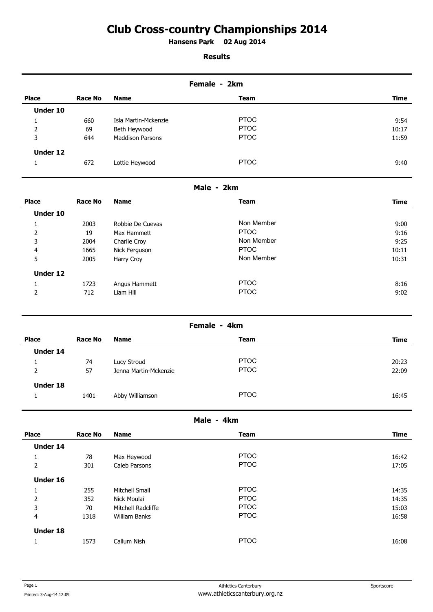# **Club Cross-country Championships 2014**

**Hansens Park 02 Aug 2014 .** 

## **Results**

| Female - 2km    |         |                         |             |             |
|-----------------|---------|-------------------------|-------------|-------------|
| <b>Place</b>    | Race No | <b>Name</b>             | <b>Team</b> | <b>Time</b> |
| Under 10        |         |                         |             |             |
| 1               | 660     | Isla Martin-Mckenzie    | <b>PTOC</b> | 9:54        |
| 2               | 69      | Beth Heywood            | <b>PTOC</b> | 10:17       |
| 3               | 644     | <b>Maddison Parsons</b> | <b>PTOC</b> | 11:59       |
| <b>Under 12</b> |         |                         |             |             |
| 1               | 672     | Lottie Heywood          | <b>PTOC</b> | 9:40        |

# **Male - 2km**

| <b>Place</b>    | <b>Race No</b> | <b>Name</b>      | <b>Team</b> | <b>Time</b> |
|-----------------|----------------|------------------|-------------|-------------|
| <b>Under 10</b> |                |                  |             |             |
| Ψ.              | 2003           | Robbie De Cuevas | Non Member  | 9:00        |
| 2               | 19             | Max Hammett      | <b>PTOC</b> | 9:16        |
| 3               | 2004           | Charlie Croy     | Non Member  | 9:25        |
| 4               | 1665           | Nick Ferguson    | <b>PTOC</b> | 10:11       |
| 5               | 2005           | Harry Croy       | Non Member  | 10:31       |
| <b>Under 12</b> |                |                  |             |             |
|                 | 1723           | Angus Hammett    | <b>PTOC</b> | 8:16        |
| 2               | 712            | Liam Hill        | <b>PTOC</b> | 9:02        |

## **Female - 4km**

| <b>Place</b>    | Race No | <b>Name</b>           | <b>Team</b> | Time  |
|-----------------|---------|-----------------------|-------------|-------|
| Under 14        |         |                       |             |       |
|                 | 74      | Lucy Stroud           | <b>PTOC</b> | 20:23 |
| 2               | 57      | Jenna Martin-Mckenzie | <b>PTOC</b> | 22:09 |
| <b>Under 18</b> |         |                       |             |       |
|                 | 1401    | Abby Williamson       | <b>PTOC</b> | 16:45 |

#### **Male - 4km**

| <b>Place</b>    | <b>Race No</b> | <b>Name</b>        | <b>Team</b> | <b>Time</b> |
|-----------------|----------------|--------------------|-------------|-------------|
| <b>Under 14</b> |                |                    |             |             |
| T.              | 78             | Max Heywood        | <b>PTOC</b> | 16:42       |
| 2               | 301            | Caleb Parsons      | <b>PTOC</b> | 17:05       |
| <b>Under 16</b> |                |                    |             |             |
|                 | 255            | Mitchell Small     | <b>PTOC</b> | 14:35       |
| 2               | 352            | Nick Moulai        | <b>PTOC</b> | 14:35       |
| 3               | 70             | Mitchell Radcliffe | <b>PTOC</b> | 15:03       |
| 4               | 1318           | William Banks      | <b>PTOC</b> | 16:58       |
| <b>Under 18</b> |                |                    |             |             |
|                 | 1573           | Callum Nish        | <b>PTOC</b> | 16:08       |